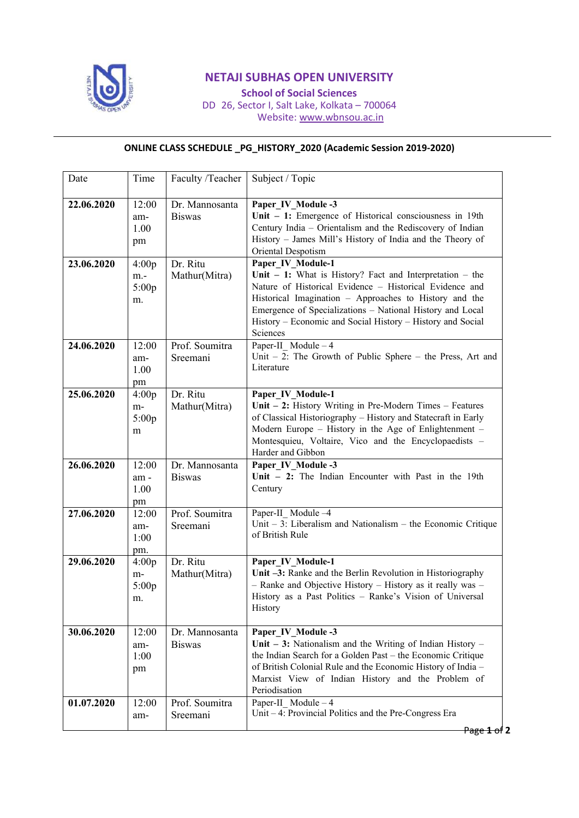

## **NETAJI SUBHAS OPEN UNIVERSITY**

**School of Social Sciences** DD 26, Sector I, Salt Lake, Kolkata – 700064 Website: www.wbnsou.ac.in

## **ONLINE CLASS SCHEDULE \_PG\_HISTORY\_2020 (Academic Session 2019-2020)**

| Date       | Time                          | Faculty /Teacher                | Subject / Topic                                                                                                                                                                                                                                                                                                                               |
|------------|-------------------------------|---------------------------------|-----------------------------------------------------------------------------------------------------------------------------------------------------------------------------------------------------------------------------------------------------------------------------------------------------------------------------------------------|
| 22.06.2020 | 12:00<br>am-<br>1.00<br>pm    | Dr. Mannosanta<br><b>Biswas</b> | Paper IV Module -3<br>Unit $-1$ : Emergence of Historical consciousness in 19th<br>Century India - Orientalism and the Rediscovery of Indian<br>History - James Mill's History of India and the Theory of<br>Oriental Despotism                                                                                                               |
| 23.06.2020 | 4:00p<br>$m -$<br>5:00p<br>m. | Dr. Ritu<br>Mathur(Mitra)       | Paper IV Module-1<br>Unit $-1$ : What is History? Fact and Interpretation $-$ the<br>Nature of Historical Evidence - Historical Evidence and<br>Historical Imagination - Approaches to History and the<br>Emergence of Specializations - National History and Local<br>History - Economic and Social History - History and Social<br>Sciences |
| 24.06.2020 | 12:00<br>am-<br>1.00<br>pm    | Prof. Soumitra<br>Sreemani      | Paper-II Module - 4<br>Unit $-2$ : The Growth of Public Sphere $-$ the Press, Art and<br>Literature                                                                                                                                                                                                                                           |
| 25.06.2020 | 4:00p<br>m-<br>5:00p<br>m     | Dr. Ritu<br>Mathur(Mitra)       | Paper IV Module-1<br>Unit $-2$ : History Writing in Pre-Modern Times $-$ Features<br>of Classical Historiography - History and Statecraft in Early<br>Modern Europe – History in the Age of Enlightenment –<br>Montesquieu, Voltaire, Vico and the Encyclopaedists -<br>Harder and Gibbon                                                     |
| 26.06.2020 | 12:00<br>am-<br>1.00<br>pm    | Dr. Mannosanta<br><b>Biswas</b> | Paper IV Module -3<br>Unit $-2$ : The Indian Encounter with Past in the 19th<br>Century                                                                                                                                                                                                                                                       |
| 27.06.2020 | 12:00<br>am-<br>1:00<br>pm.   | Prof. Soumitra<br>Sreemani      | Paper-II Module -4<br>Unit $-3$ : Liberalism and Nationalism $-$ the Economic Critique<br>of British Rule                                                                                                                                                                                                                                     |
| 29.06.2020 | 4:00p<br>m-<br>5:00p<br>m.    | Dr. Ritu<br>Mathur(Mitra)       | Paper IV Module-1<br>Unit -3: Ranke and the Berlin Revolution in Historiography<br>- Ranke and Objective History - History as it really was -<br>History as a Past Politics - Ranke's Vision of Universal<br>History                                                                                                                          |
| 30.06.2020 | 12:00<br>am-<br>1:00<br>pm    | Dr. Mannosanta<br><b>Biswas</b> | Paper IV Module -3<br>Unit $-3$ : Nationalism and the Writing of Indian History $-$<br>the Indian Search for a Golden Past - the Economic Critique<br>of British Colonial Rule and the Economic History of India -<br>Marxist View of Indian History and the Problem of<br>Periodisation                                                      |
| 01.07.2020 | 12:00<br>am-                  | Prof. Soumitra<br>Sreemani      | Paper-II Module $-4$<br>Unit - 4: Provincial Politics and the Pre-Congress Era                                                                                                                                                                                                                                                                |

Page **1** of **2**